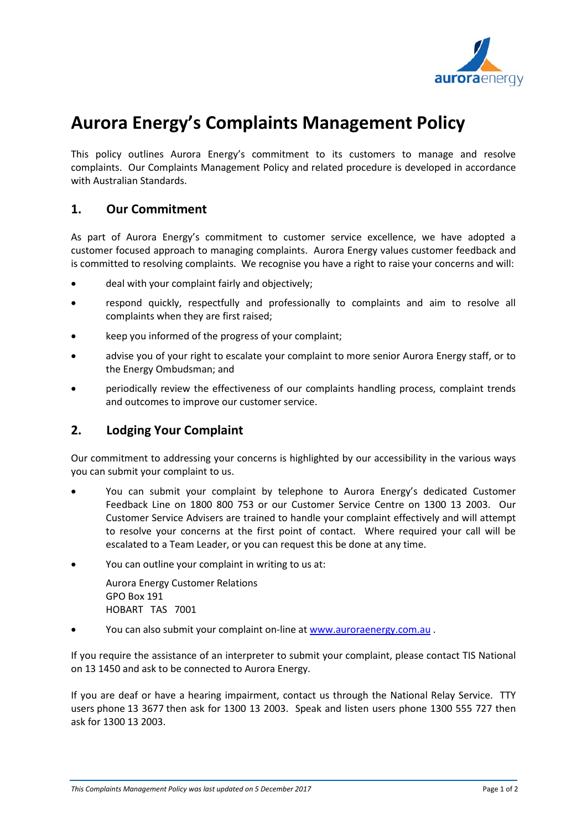

# **Aurora Energy's Complaints Management Policy**

This policy outlines Aurora Energy's commitment to its customers to manage and resolve complaints. Our Complaints Management Policy and related procedure is developed in accordance with Australian Standards.

#### **1. Our Commitment**

As part of Aurora Energy's commitment to customer service excellence, we have adopted a customer focused approach to managing complaints. Aurora Energy values customer feedback and is committed to resolving complaints. We recognise you have a right to raise your concerns and will:

- deal with your complaint fairly and objectively;
- respond quickly, respectfully and professionally to complaints and aim to resolve all complaints when they are first raised;
- keep you informed of the progress of your complaint;
- advise you of your right to escalate your complaint to more senior Aurora Energy staff, or to the Energy Ombudsman; and
- periodically review the effectiveness of our complaints handling process, complaint trends and outcomes to improve our customer service.

### **2. Lodging Your Complaint**

Our commitment to addressing your concerns is highlighted by our accessibility in the various ways you can submit your complaint to us.

- You can submit your complaint by telephone to Aurora Energy's dedicated Customer Feedback Line on 1800 800 753 or our Customer Service Centre on 1300 13 2003. Our Customer Service Advisers are trained to handle your complaint effectively and will attempt to resolve your concerns at the first point of contact. Where required your call will be escalated to a Team Leader, or you can request this be done at any time.
- You can outline your complaint in writing to us at:

Aurora Energy Customer Relations GPO Box 191 HOBART TAS 7001

• You can also submit your complaint on-line at [www.auroraenergy.com.au](http://www.auroraenergy.com.au/) .

If you require the assistance of an interpreter to submit your complaint, please contact TIS National on 13 1450 and ask to be connected to Aurora Energy.

If you are deaf or have a hearing impairment, contact us through the National Relay Service. TTY users phone 13 3677 then ask for 1300 13 2003. Speak and listen users phone 1300 555 727 then ask for 1300 13 2003.